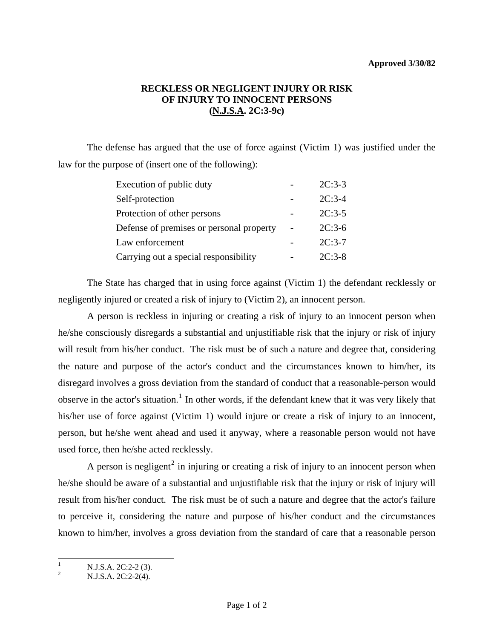## **Approved 3/30/82**

## **RECKLESS OR NEGLIGENT INJURY OR RISK OF INJURY TO INNOCENT PERSONS (N.J.S.A. 2C:3-9c)**

 The defense has argued that the use of force against (Victim 1) was justified under the law for the purpose of (insert one of the following):

| Execution of public duty                 | $2C:3-3$ |
|------------------------------------------|----------|
| Self-protection                          | $2C:3-4$ |
| Protection of other persons              | $2C:3-5$ |
| Defense of premises or personal property | $2C:3-6$ |
| Law enforcement                          | $2C:3-7$ |
| Carrying out a special responsibility    | $2C:3-8$ |

 The State has charged that in using force against (Victim 1) the defendant recklessly or negligently injured or created a risk of injury to (Victim 2), an innocent person.

 A person is reckless in injuring or creating a risk of injury to an innocent person when he/she consciously disregards a substantial and unjustifiable risk that the injury or risk of injury will result from his/her conduct. The risk must be of such a nature and degree that, considering the nature and purpose of the actor's conduct and the circumstances known to him/her, its disregard involves a gross deviation from the standard of conduct that a reasonable-person would observe in the actor's situation.<sup>[1](#page-0-0)</sup> In other words, if the defendant knew that it was very likely that his/her use of force against (Victim 1) would injure or create a risk of injury to an innocent, person, but he/she went ahead and used it anyway, where a reasonable person would not have used force, then he/she acted recklessly.

A person is negligent<sup>[2](#page-0-1)</sup> in injuring or creating a risk of injury to an innocent person when he/she should be aware of a substantial and unjustifiable risk that the injury or risk of injury will result from his/her conduct. The risk must be of such a nature and degree that the actor's failure to perceive it, considering the nature and purpose of his/her conduct and the circumstances known to him/her, involves a gross deviation from the standard of care that a reasonable person

<span id="page-0-0"></span> $\mathbf{1}$  $\frac{N.J.S.A.}{N.J.S.A.}$  2C:2-2(3).<br>N.J.S.A. 2C:2-2(4).

<span id="page-0-1"></span>